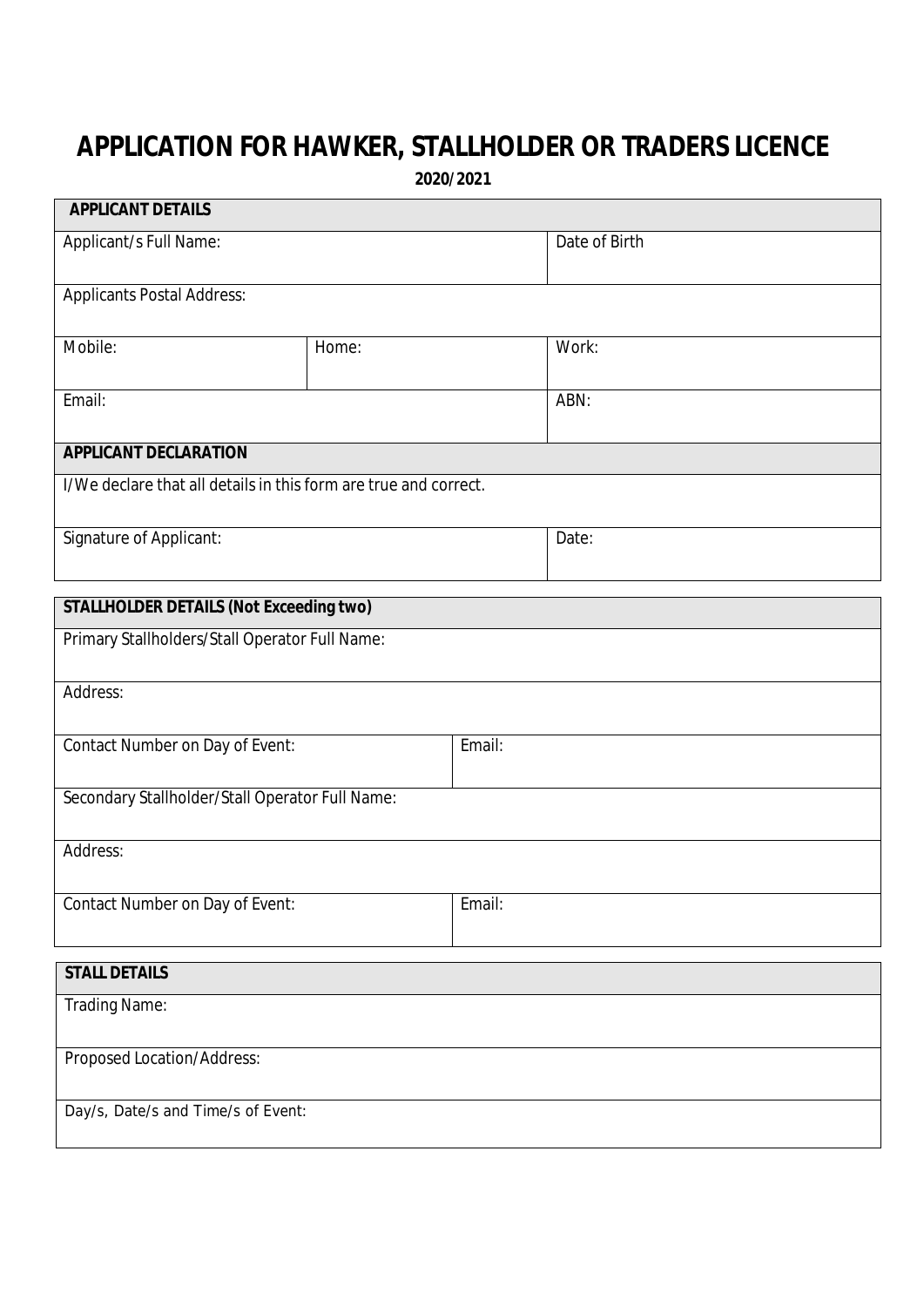## **APPLICATION FOR HAWKER, STALLHOLDER OR TRADERS LICENCE**

**2020/2021**

┑

| <b>APPLICANT DETAILS</b>                                         |       |        |               |  |
|------------------------------------------------------------------|-------|--------|---------------|--|
| Applicant/s Full Name:                                           |       |        | Date of Birth |  |
| <b>Applicants Postal Address:</b>                                |       |        |               |  |
| Mobile:                                                          | Home: |        | Work:         |  |
| Email:                                                           |       |        | ABN:          |  |
| <b>APPLICANT DECLARATION</b>                                     |       |        |               |  |
| I/We declare that all details in this form are true and correct. |       |        |               |  |
| Signature of Applicant:                                          |       |        | Date:         |  |
| <b>STALLHOLDER DETAILS (Not Exceeding two)</b>                   |       |        |               |  |
| Primary Stallholders/Stall Operator Full Name:                   |       |        |               |  |
| Address:                                                         |       |        |               |  |
| Contact Number on Day of Event:                                  |       | Email: |               |  |
| Secondary Stallholder/Stall Operator Full Name:                  |       |        |               |  |
| Address:                                                         |       |        |               |  |
| Contact Number on Day of Event:                                  |       | Email: |               |  |
| <b>STALL DETAILS</b>                                             |       |        |               |  |
| Trading Name:                                                    |       |        |               |  |
| Proposed Location/Address:                                       |       |        |               |  |
| Day/s, Date/s and Time/s of Event:                               |       |        |               |  |